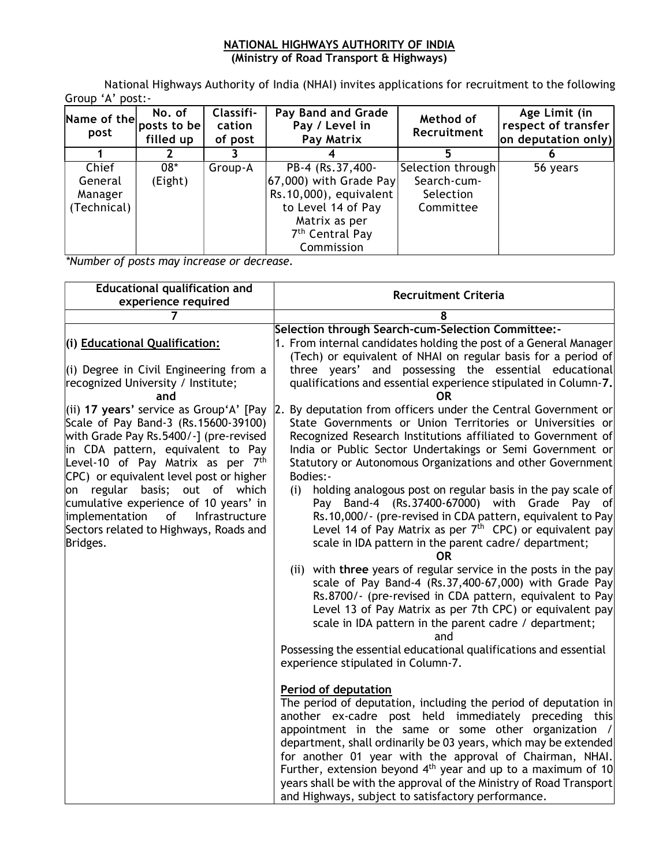## NATIONAL HIGHWAYS AUTHORITY OF INDIA (Ministry of Road Transport & Highways)

National Highways Authority of India (NHAI) invites applications for recruitment to the following Group 'A' post:-

| Name of the<br>post                        | No. of<br>$ {\sf posts}$ to be $ $<br>filled up | Classifi-<br>cation<br>of post | Pay Band and Grade<br>Pay / Level in<br>Pay Matrix                                                                                                                  | Method of<br>Recruitment                                   | Age Limit (in<br>respect of transfer<br>on deputation only) |
|--------------------------------------------|-------------------------------------------------|--------------------------------|---------------------------------------------------------------------------------------------------------------------------------------------------------------------|------------------------------------------------------------|-------------------------------------------------------------|
|                                            |                                                 |                                |                                                                                                                                                                     |                                                            |                                                             |
| Chief<br>General<br>Manager<br>(Technical) | $08*$<br>(Eight)                                | Group-A                        | PB-4 (Rs.37,400-<br>$ 67,000\rangle$ with Grade Pay<br>$Rs.10,000$ , equivalent<br>to Level 14 of Pay<br>Matrix as per<br>7 <sup>th</sup> Central Pay<br>Commission | Selection through<br>Search-cum-<br>Selection<br>Committee | 56 years                                                    |

\*Number of posts may increase or decrease.

| <b>Educational qualification and</b>                                                                                                                                                                                                                                                                                                                                                                                                     | <b>Recruitment Criteria</b>                                                                                                                                                                                                                                                                                                                                                                                                                                                                                                                                                                                                                                                                                                                                                                                                                                                                                      |  |  |
|------------------------------------------------------------------------------------------------------------------------------------------------------------------------------------------------------------------------------------------------------------------------------------------------------------------------------------------------------------------------------------------------------------------------------------------|------------------------------------------------------------------------------------------------------------------------------------------------------------------------------------------------------------------------------------------------------------------------------------------------------------------------------------------------------------------------------------------------------------------------------------------------------------------------------------------------------------------------------------------------------------------------------------------------------------------------------------------------------------------------------------------------------------------------------------------------------------------------------------------------------------------------------------------------------------------------------------------------------------------|--|--|
| experience required                                                                                                                                                                                                                                                                                                                                                                                                                      |                                                                                                                                                                                                                                                                                                                                                                                                                                                                                                                                                                                                                                                                                                                                                                                                                                                                                                                  |  |  |
|                                                                                                                                                                                                                                                                                                                                                                                                                                          | 8                                                                                                                                                                                                                                                                                                                                                                                                                                                                                                                                                                                                                                                                                                                                                                                                                                                                                                                |  |  |
| (i) Educational Qualification:<br>(i) Degree in Civil Engineering from a<br>recognized University / Institute;<br>and                                                                                                                                                                                                                                                                                                                    | Selection through Search-cum-Selection Committee:-<br>1. From internal candidates holding the post of a General Manager<br>(Tech) or equivalent of NHAI on regular basis for a period of<br>three years' and possessing the essential educational<br>qualifications and essential experience stipulated in Column-7.<br>ΩR                                                                                                                                                                                                                                                                                                                                                                                                                                                                                                                                                                                       |  |  |
| (ii) 17 years' service as Group'A' [Pay<br>Scale of Pay Band-3 (Rs.15600-39100)<br>with Grade Pay Rs.5400/-] (pre-revised<br>in CDA pattern, equivalent to Pay<br>Level-10 of Pay Matrix as per 7 <sup>th</sup><br>CPC) or equivalent level post or higher<br>basis; out of which<br>on regular<br>cumulative experience of 10 years' in<br>implementation<br>of<br>Infrastructure<br>Sectors related to Highways, Roads and<br>Bridges. | 2. By deputation from officers under the Central Government or<br>State Governments or Union Territories or Universities or<br>Recognized Research Institutions affiliated to Government of<br>India or Public Sector Undertakings or Semi Government or<br>Statutory or Autonomous Organizations and other Government<br>Bodies:-<br>holding analogous post on regular basis in the pay scale of<br>(i)<br>Pay Band-4 (Rs.37400-67000) with Grade Pay of<br>Rs.10,000/- (pre-revised in CDA pattern, equivalent to Pay<br>Level 14 of Pay Matrix as per $7th$ CPC) or equivalent pay<br>scale in IDA pattern in the parent cadre/ department;<br><b>OR</b><br>(ii) with three years of regular service in the posts in the pay<br>scale of Pay Band-4 (Rs.37,400-67,000) with Grade Pay<br>Rs.8700/- (pre-revised in CDA pattern, equivalent to Pay<br>Level 13 of Pay Matrix as per 7th CPC) or equivalent pay |  |  |
|                                                                                                                                                                                                                                                                                                                                                                                                                                          | scale in IDA pattern in the parent cadre / department;<br>and<br>Possessing the essential educational qualifications and essential<br>experience stipulated in Column-7.<br>Period of deputation<br>The period of deputation, including the period of deputation in<br>another ex-cadre post held immediately preceding this<br>appointment in the same or some other organization /<br>department, shall ordinarily be 03 years, which may be extended<br>for another 01 year with the approval of Chairman, NHAI.<br>Further, extension beyond 4 <sup>th</sup> year and up to a maximum of 10<br>years shall be with the approval of the Ministry of Road Transport<br>and Highways, subject to satisfactory performance.                                                                                                                                                                                      |  |  |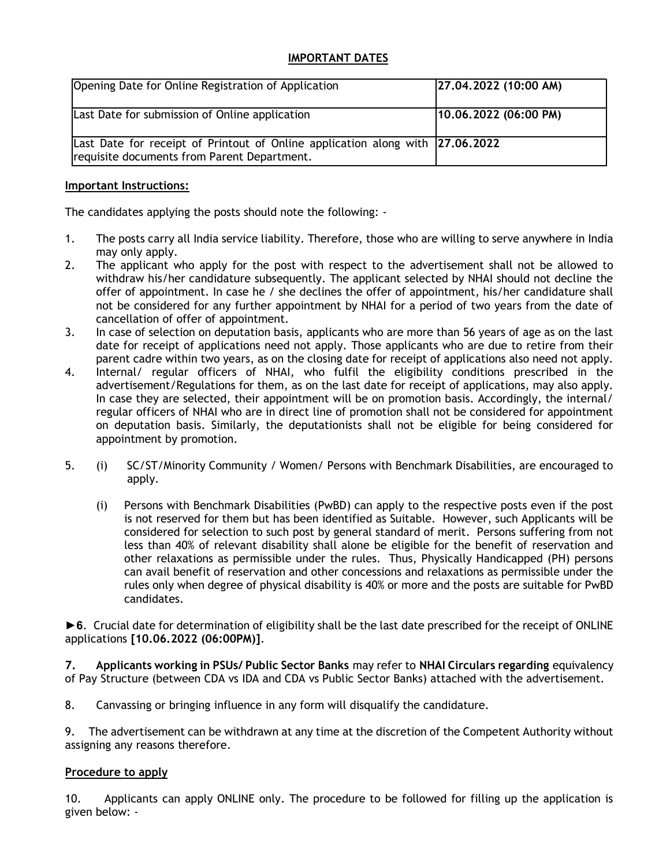## IMPORTANT DATES

| Opening Date for Online Registration of Application                                                                          | $ 27.04.2022 $ (10:00 AM) |
|------------------------------------------------------------------------------------------------------------------------------|---------------------------|
| Last Date for submission of Online application                                                                               | (10.06.2022(06:00 PM))    |
| Last Date for receipt of Printout of Online application along with 27.06.2022<br>requisite documents from Parent Department. |                           |

## Important Instructions:

The candidates applying the posts should note the following: -

- 1. The posts carry all India service liability. Therefore, those who are willing to serve anywhere in India may only apply.
- 2. The applicant who apply for the post with respect to the advertisement shall not be allowed to withdraw his/her candidature subsequently. The applicant selected by NHAI should not decline the offer of appointment. In case he / she declines the offer of appointment, his/her candidature shall not be considered for any further appointment by NHAI for a period of two years from the date of cancellation of offer of appointment.
- 3. In case of selection on deputation basis, applicants who are more than 56 years of age as on the last date for receipt of applications need not apply. Those applicants who are due to retire from their parent cadre within two years, as on the closing date for receipt of applications also need not apply.
- 4. Internal/ regular officers of NHAI, who fulfil the eligibility conditions prescribed in the advertisement/Regulations for them, as on the last date for receipt of applications, may also apply. In case they are selected, their appointment will be on promotion basis. Accordingly, the internal/ regular officers of NHAI who are in direct line of promotion shall not be considered for appointment on deputation basis. Similarly, the deputationists shall not be eligible for being considered for appointment by promotion.
- 5. (i) SC/ST/Minority Community / Women/ Persons with Benchmark Disabilities, are encouraged to apply.
	- (i) Persons with Benchmark Disabilities (PwBD) can apply to the respective posts even if the post is not reserved for them but has been identified as Suitable. However, such Applicants will be considered for selection to such post by general standard of merit. Persons suffering from not less than 40% of relevant disability shall alone be eligible for the benefit of reservation and other relaxations as permissible under the rules. Thus, Physically Handicapped (PH) persons can avail benefit of reservation and other concessions and relaxations as permissible under the rules only when degree of physical disability is 40% or more and the posts are suitable for PwBD candidates.

►6. Crucial date for determination of eligibility shall be the last date prescribed for the receipt of ONLINE applications [10.06.2022 (06:00PM)].

7. Applicants working in PSUs/ Public Sector Banks may refer to NHAI Circulars regarding equivalency of Pay Structure (between CDA vs IDA and CDA vs Public Sector Banks) attached with the advertisement.

8. Canvassing or bringing influence in any form will disqualify the candidature.

9. The advertisement can be withdrawn at any time at the discretion of the Competent Authority without assigning any reasons therefore.

## Procedure to apply

10. Applicants can apply ONLINE only. The procedure to be followed for filling up the application is given below: -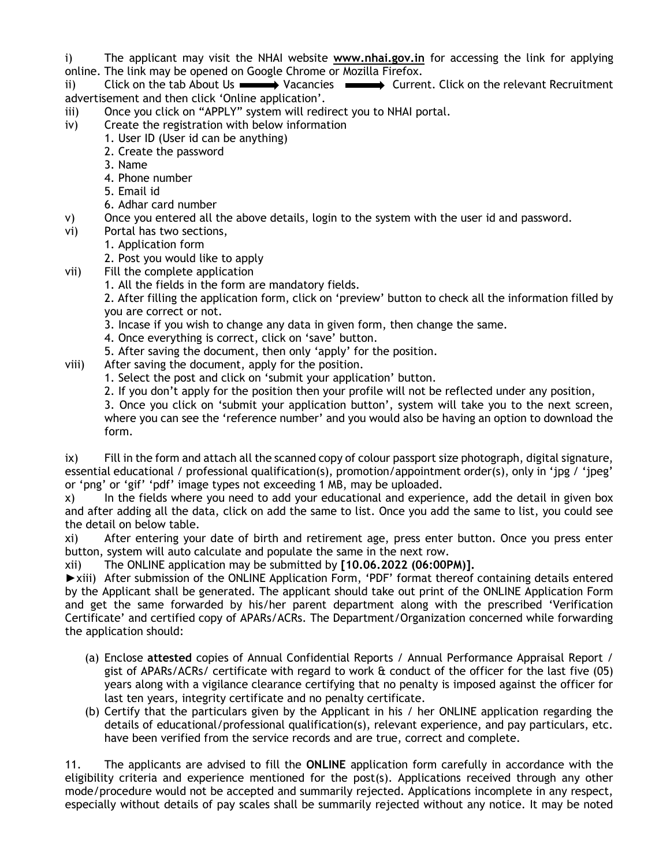i) The applicant may visit the NHAI website www.nhai.gov.in for accessing the link for applying online. The link may be opened on Google Chrome or Mozilla Firefox.

ii) Click on the tab About Us  $\longrightarrow$  Vacancies  $\longrightarrow$  Current. Click on the relevant Recruitment advertisement and then click 'Online application'.

- iii) Once you click on "APPLY" system will redirect you to NHAI portal.
- iv) Create the registration with below information
	- 1. User ID (User id can be anything)
	- 2. Create the password
	- 3. Name
	- 4. Phone number
	- 5. Email id
	- 6. Adhar card number
- v) Once you entered all the above details, login to the system with the user id and password.
- vi) Portal has two sections,
	- 1. Application form
	- 2. Post you would like to apply
- vii) Fill the complete application
	- 1. All the fields in the form are mandatory fields.

2. After filling the application form, click on 'preview' button to check all the information filled by you are correct or not.

- 3. Incase if you wish to change any data in given form, then change the same.
- 4. Once everything is correct, click on 'save' button.
- 5. After saving the document, then only 'apply' for the position.
- viii) After saving the document, apply for the position.
	- 1. Select the post and click on 'submit your application' button.
	- 2. If you don't apply for the position then your profile will not be reflected under any position,

3. Once you click on 'submit your application button', system will take you to the next screen, where you can see the 'reference number' and you would also be having an option to download the form.

ix) Fill in the form and attach all the scanned copy of colour passport size photograph, digital signature, essential educational / professional qualification(s), promotion/appointment order(s), only in 'jpg / 'jpeg' or 'png' or 'gif' 'pdf' image types not exceeding 1 MB, may be uploaded.

x) In the fields where you need to add your educational and experience, add the detail in given box and after adding all the data, click on add the same to list. Once you add the same to list, you could see the detail on below table.

xi) After entering your date of birth and retirement age, press enter button. Once you press enter button, system will auto calculate and populate the same in the next row.

xii) The ONLINE application may be submitted by [10.06.2022 (06:00PM)].

►xiii) After submission of the ONLINE Application Form, 'PDF' format thereof containing details entered by the Applicant shall be generated. The applicant should take out print of the ONLINE Application Form and get the same forwarded by his/her parent department along with the prescribed 'Verification Certificate' and certified copy of APARs/ACRs. The Department/Organization concerned while forwarding the application should:

- (a) Enclose attested copies of Annual Confidential Reports / Annual Performance Appraisal Report / gist of APARs/ACRs/ certificate with regard to work & conduct of the officer for the last five (05) years along with a vigilance clearance certifying that no penalty is imposed against the officer for last ten years, integrity certificate and no penalty certificate.
- (b) Certify that the particulars given by the Applicant in his / her ONLINE application regarding the details of educational/professional qualification(s), relevant experience, and pay particulars, etc. have been verified from the service records and are true, correct and complete.

11. The applicants are advised to fill the **ONLINE** application form carefully in accordance with the eligibility criteria and experience mentioned for the post(s). Applications received through any other mode/procedure would not be accepted and summarily rejected. Applications incomplete in any respect, especially without details of pay scales shall be summarily rejected without any notice. It may be noted